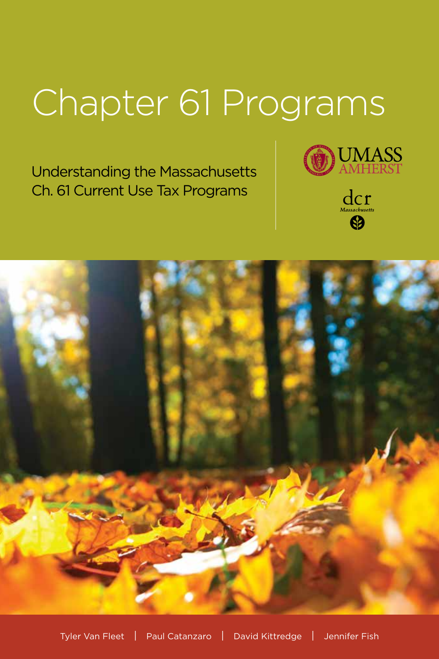# Chapter 61 Programs

Understanding the Massachusetts Ch. 61 Current Use Tax Programs



 $\mathop{{\rm dcr}}\limits_{\scriptscriptstyle\rm Massacbusetts}$  $\bigcirc$ 

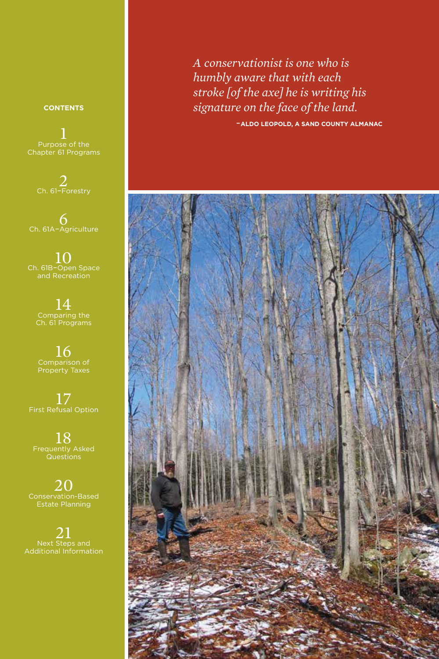*A conservationist is one who is humbly aware that with each stroke [of the axe] he is writing his signature on the face of the land.*

*-***ALDO LEOPOLD, A SAND COUNTY ALMANAC**



#### **CONTENTS**

 $\frac{1}{2}$ Purpose of the Chapter 61 Programs

2 Ch. 61–Forestry

6 Ch. 61A–Agriculture

 $10<sub>cm</sub>$  Ch. 61B-Open Space and Recreation

14 Comparing the Ch. 61 Programs

16 Comparison of Property Taxes

17 First Refusal Option

18 Frequently Asked Questions

20 Conservation-Based Estate Planning

 $\frac{21}{2}$ Next Steps and Additional Information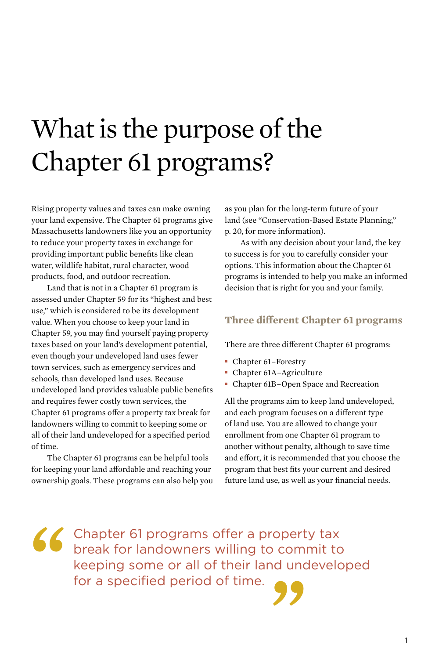## What is the purpose of the Chapter 61 programs?

Rising property values and taxes can make owning your land expensive. The Chapter 61 programs give Massachusetts landowners like you an opportunity to reduce your property taxes in exchange for providing important public benefits like clean water, wildlife habitat, rural character, wood products, food, and outdoor recreation.

Land that is not in a Chapter 61 program is assessed under Chapter 59 for its "highest and best use," which is considered to be its development value. When you choose to keep your land in Chapter 59, you may find yourself paying property taxes based on your land's development potential, even though your undeveloped land uses fewer town services, such as emergency services and schools, than developed land uses. Because undeveloped land provides valuable public benefits and requires fewer costly town services, the Chapter 61 programs offer a property tax break for landowners willing to commit to keeping some or all of their land undeveloped for a specified period of time.

The Chapter 61 programs can be helpful tools for keeping your land affordable and reaching your ownership goals. These programs can also help you as you plan for the long-term future of your land (see "Conservation-Based Estate Planning," p. 20, for more information).

As with any decision about your land, the key to success is for you to carefully consider your options. This information about the Chapter 61 programs is intended to help you make an informed decision that is right for you and your family.

#### **Three different Chapter 61 programs**

There are three different Chapter 61 programs:

- **■** Chapter 61–Forestry
- **■** Chapter 61A–Agriculture
- **■** Chapter 61B–Open Space and Recreation

All the programs aim to keep land undeveloped, and each program focuses on a different type of land use. You are allowed to change your enrollment from one Chapter 61 program to another without penalty, although to save time and effort, it is recommended that you choose the program that best fits your current and desired future land use, as well as your financial needs.

**" "** Chapter 61 programs offer a property tax break for landowners willing to commit to keeping some or all of their land undeveloped for a specified period of time.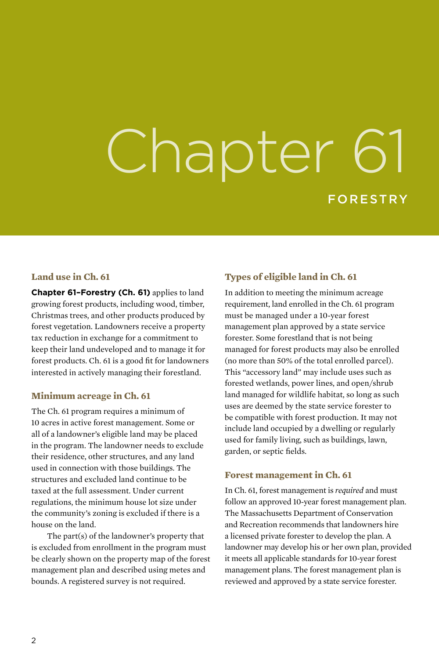# Chapter 61 FORESTRY

#### **Land use in Ch. 61**

**Chapter 61–Forestry (Ch. 61)** applies to land growing forest products, including wood, timber, Christmas trees, and other products produced by forest vegetation. Landowners receive a property tax reduction in exchange for a commitment to keep their land undeveloped and to manage it for forest products. Ch. 61 is a good fit for landowners interested in actively managing their forestland.

#### **Minimum acreage in Ch. 61**

The Ch. 61 program requires a minimum of 10 acres in active forest management. Some or all of a landowner's eligible land may be placed in the program. The landowner needs to exclude their residence, other structures, and any land used in connection with those buildings. The structures and excluded land continue to be taxed at the full assessment. Under current regulations, the minimum house lot size under the community's zoning is excluded if there is a house on the land.

The part(s) of the landowner's property that is excluded from enrollment in the program must be clearly shown on the property map of the forest management plan and described using metes and bounds. A registered survey is not required.

#### **Types of eligible land in Ch. 61**

In addition to meeting the minimum acreage requirement, land enrolled in the Ch. 61 program must be managed under a 10-year forest management plan approved by a state service forester. Some forestland that is not being managed for forest products may also be enrolled (no more than 50% of the total enrolled parcel). This "accessory land" may include uses such as forested wetlands, power lines, and open/shrub land managed for wildlife habitat, so long as such uses are deemed by the state service forester to be compatible with forest production. It may not include land occupied by a dwelling or regularly used for family living, such as buildings, lawn, garden, or septic fields.

#### **Forest management in Ch. 61**

In Ch. 61, forest management is *required* and must follow an approved 10-year forest management plan. The Massachusetts Department of Conservation and Recreation recommends that landowners hire a licensed private forester to develop the plan. A landowner may develop his or her own plan, provided it meets all applicable standards for 10-year forest management plans. The forest management plan is reviewed and approved by a state service forester.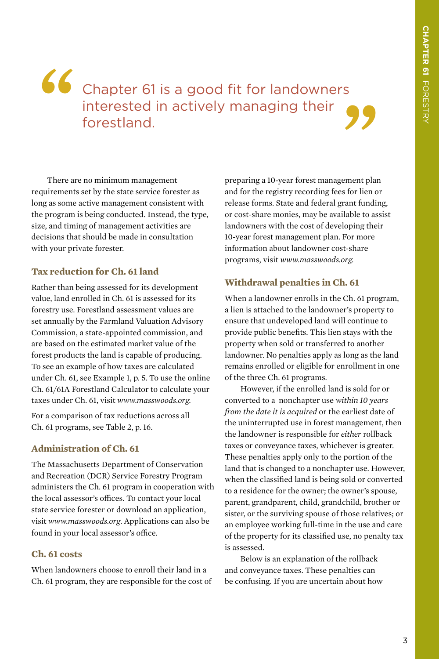# Chapter 61 is a good fit for landowners interested in actively managing their  $\bigcirc$ **"**



There are no minimum management requirements set by the state service forester as long as some active management consistent with the program is being conducted. Instead, the type, size, and timing of management activities are decisions that should be made in consultation with your private forester.

#### **Tax reduction for Ch. 61 land**

Rather than being assessed for its development value, land enrolled in Ch. 61 is assessed for its forestry use. Forestland assessment values are set annually by the Farmland Valuation Advisory Commission, a state-appointed commission, and are based on the estimated market value of the forest products the land is capable of producing. To see an example of how taxes are calculated under Ch. 61, see Example 1, p. 5. To use the online Ch. 61/61A Forestland Calculator to calculate your taxes under Ch. 61, visit *www.masswoods.org.*

For a comparison of tax reductions across all Ch. 61 programs, see Table 2, p. 16.

#### **Administration of Ch. 61**

The Massachusetts Department of Conservation and Recreation (DCR) Service Forestry Program administers the Ch. 61 program in cooperation with the local assessor's offices. To contact your local state service forester or download an application, visit *www.masswoods.org*. Applications can also be found in your local assessor's office.

#### **Ch. 61 costs**

When landowners choose to enroll their land in a Ch. 61 program, they are responsible for the cost of preparing a 10-year forest management plan and for the registry recording fees for lien or release forms. State and federal grant funding, or cost-share monies, may be available to assist landowners with the cost of developing their 10-year forest management plan. For more information about landowner cost-share programs, visit *www.masswoods.org.*

#### **Withdrawal penalties in Ch. 61**

When a landowner enrolls in the Ch. 61 program, a lien is attached to the landowner's property to ensure that undeveloped land will continue to provide public benefits. This lien stays with the property when sold or transferred to another landowner. No penalties apply as long as the land remains enrolled or eligible for enrollment in one of the three Ch. 61 programs.

However, if the enrolled land is sold for or converted to a nonchapter use *within 10 years from the date it is acquired* or the earliest date of the uninterrupted use in forest management, then the landowner is responsible for *either* rollback taxes or conveyance taxes, whichever is greater. These penalties apply only to the portion of the land that is changed to a nonchapter use. However, when the classified land is being sold or converted to a residence for the owner; the owner's spouse, parent, grandparent, child, grandchild, brother or sister, or the surviving spouse of those relatives; or an employee working full-time in the use and care of the property for its classified use, no penalty tax is assessed.

Below is an explanation of the rollback and conveyance taxes. These penalties can be confusing. If you are uncertain about how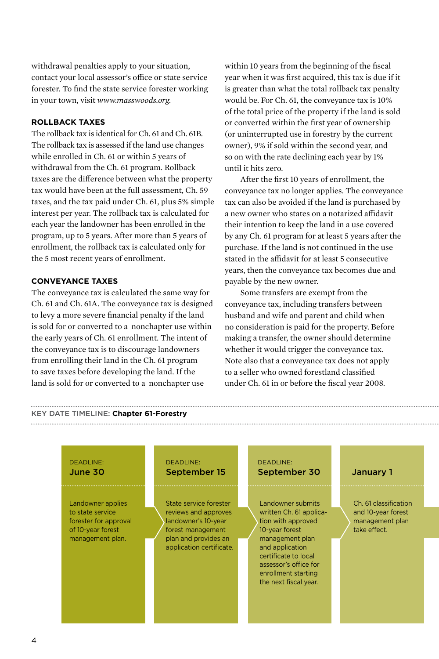withdrawal penalties apply to your situation, contact your local assessor's office or state service forester. To find the state service forester working in your town, visit *www.masswoods.org.*

#### **ROLLBACK TAXES**

The rollback tax is identical for Ch. 61 and Ch. 61B. The rollback tax is assessed if the land use changes while enrolled in Ch. 61 or within 5 years of withdrawal from the Ch. 61 program. Rollback taxes are the difference between what the property tax would have been at the full assessment, Ch. 59 taxes, and the tax paid under Ch. 61, plus 5% simple interest per year. The rollback tax is calculated for each year the landowner has been enrolled in the program, up to 5 years. After more than 5 years of enrollment, the rollback tax is calculated only for the 5 most recent years of enrollment.

#### **CONVEYANCE TAXES**

The conveyance tax is calculated the same way for Ch. 61 and Ch. 61A. The conveyance tax is designed to levy a more severe financial penalty if the land is sold for or converted to a nonchapter use within the early years of Ch. 61 enrollment. The intent of the conveyance tax is to discourage landowners from enrolling their land in the Ch. 61 program to save taxes before developing the land. If the land is sold for or converted to a nonchapter use

within 10 years from the beginning of the fiscal year when it was first acquired, this tax is due if it is greater than what the total rollback tax penalty would be. For Ch. 61, the conveyance tax is 10% of the total price of the property if the land is sold or converted within the first year of ownership (or uninterrupted use in forestry by the current owner), 9% if sold within the second year, and so on with the rate declining each year by 1% until it hits zero.

After the first 10 years of enrollment, the conveyance tax no longer applies. The conveyance tax can also be avoided if the land is purchased by a new owner who states on a notarized affidavit their intention to keep the land in a use covered by any Ch. 61 program for at least 5 years after the purchase. If the land is not continued in the use stated in the affidavit for at least 5 consecutive years, then the conveyance tax becomes due and payable by the new owner.

Some transfers are exempt from the conveyance tax, including transfers between husband and wife and parent and child when no consideration is paid for the property. Before making a transfer, the owner should determine whether it would trigger the conveyance tax. Note also that a conveyance tax does not apply to a seller who owned forestland classified under Ch. 61 in or before the fiscal year 2008.

#### KEY DATE TIMELINE: **Chapter 61-Forestry**

#### DEADLINE: June 30 DEADLINE: September 15 DEADLINE: September 30 January 1 Landowner applies to state service forester for approval of 10-year forest management plan. Ch. 61 classification and 10-year forest management plan take effect. Landowner submits written Ch. 61 application with approved 10-year forest management plan and application certificate to local assessor's office for enrollment starting the next fiscal year. State service forester reviews and approves landowner's 10-year forest management plan and provides an application certificate.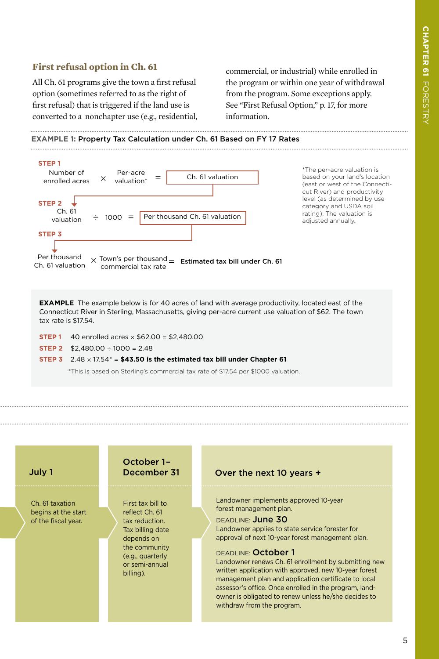#### **First refusal option in Ch. 61**

All Ch. 61 programs give the town a first refusal option (sometimes referred to as the right of first refusal) that is triggered if the land use is converted to a nonchapter use (e.g., residential, commercial, or industrial) while enrolled in the program or within one year of withdrawal from the program. Some exceptions apply. See "First Refusal Option," p. 17, for more information.

**EXAMPLE 1:** Property Tax Calculation under Ch. 61 Based on FY 17 Rates



**EXAMPLE** The example below is for 40 acres of land with average productivity, located east of the Connecticut River in Sterling, Massachusetts, giving per-acre current use valuation of \$62. The town tax rate is \$17.54.

- **STEP 1** 40 enrolled acres  $\times$  \$62.00 = \$2.480.00
- **STEP 2**  $$2,480.00 \div 1000 = 2.48$
- **STEP 3**  $2.48 \times 17.54^* = $43.50$  is the estimated tax bill under Chapter 61

\*This is based on Sterling's commercial tax rate of \$17.54 per \$1000 valuation.

July 1

Ch. 61 taxation begins at the start of the fiscal year.

### October 1–

First tax bill to reflect Ch. 61 tax reduction. Tax billing date depends on the community (e.g., quarterly or semi-annual billing).

#### December 31 Over the next 10 years +

Landowner implements approved 10-year forest management plan.

DEADLINE: June 30 Landowner applies to state service forester for approval of next 10-year forest management plan.

#### DEADLINE: October 1

Landowner renews Ch. 61 enrollment by submitting new written application with approved, new 10-year forest management plan and application certificate to local assessor's office. Once enrolled in the program, landowner is obligated to renew unless he/she decides to withdraw from the program.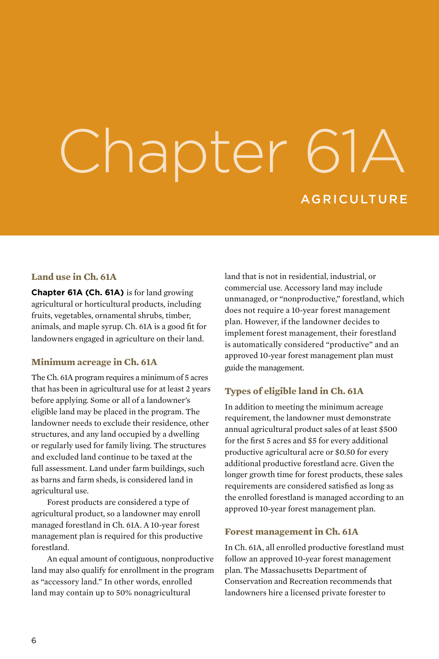# Chapter 61A **AGRICULTURE**

#### **Land use in Ch. 61A**

**Chapter 61A (Ch. 61A)** is for land growing agricultural or horticultural products, including fruits, vegetables, ornamental shrubs, timber, animals, and maple syrup. Ch. 61A is a good fit for landowners engaged in agriculture on their land.

#### **Minimum acreage in Ch. 61A**

The Ch. 61A program requires a minimum of 5 acres that has been in agricultural use for at least 2 years before applying. Some or all of a landowner's eligible land may be placed in the program. The landowner needs to exclude their residence, other structures, and any land occupied by a dwelling or regularly used for family living. The structures and excluded land continue to be taxed at the full assessment. Land under farm buildings, such as barns and farm sheds, is considered land in agricultural use.

Forest products are considered a type of agricultural product, so a landowner may enroll managed forestland in Ch. 61A. A 10-year forest management plan is required for this productive forestland.

An equal amount of contiguous, nonproductive land may also qualify for enrollment in the program as "accessory land." In other words, enrolled land may contain up to 50% nonagricultural

land that is not in residential, industrial, or commercial use. Accessory land may include unmanaged, or "nonproductive," forestland, which does not require a 10-year forest management plan. However, if the landowner decides to implement forest management, their forestland is automatically considered "productive" and an approved 10-year forest management plan must guide the management.

#### **Types of eligible land in Ch. 61A**

In addition to meeting the minimum acreage requirement, the landowner must demonstrate annual agricultural product sales of at least \$500 for the first 5 acres and \$5 for every additional productive agricultural acre or \$0.50 for every additional productive forestland acre. Given the longer growth time for forest products, these sales requirements are considered satisfied as long as the enrolled forestland is managed according to an approved 10-year forest management plan.

#### **Forest management in Ch. 61A**

In Ch. 61A, all enrolled productive forestland must follow an approved 10-year forest management plan. The Massachusetts Department of Conservation and Recreation recommends that landowners hire a licensed private forester to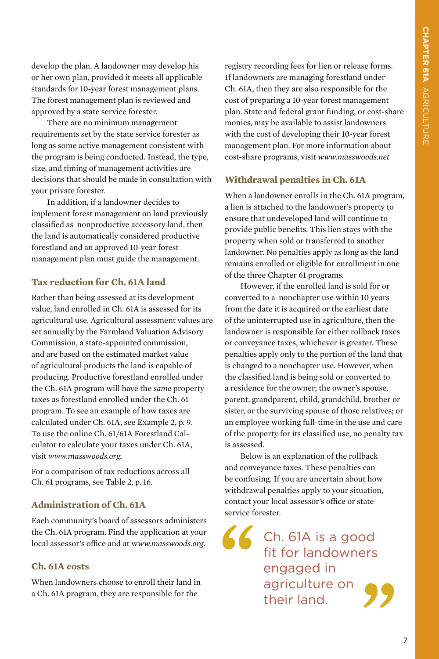develop the plan. A landowner may develop his or her own plan, provided it meets all applicable standards for 10-year forest management plans. The forest management plan is reviewed and approved by a state service forester.

There are no minimum management requirements set by the state service forester as long as some active management consistent with the program is being conducted. Instead, the type, size, and timing of management activities are decisions that should be made in consultation with your private forester.

In addition, if a landowner decides to implement forest management on land previously classified as nonproductive accessory land, then the land is automatically considered productive forestland and an approved 10-year forest management plan must guide the management.

#### **Tax reduction for Ch. 61A land**

Rather than being assessed at its development value, land enrolled in Ch. 61A is assessed for its agricultural use. Agricultural assessment values are set annually by the Farmland Valuation Advisory Commission, a state-appointed commission, and are based on the estimated market value of agricultural products the land is capable of producing. Productive forestland enrolled under the Ch. 61A program will have the *same* property taxes as forestland enrolled under the Ch. 61 program. To see an example of how taxes are calculated under Ch. 61A, see Example 2, p. 9. To use the online Ch. 61/61A Forestland Calculator to calculate your taxes under Ch. 61A, visit *www.masswoods.org.*

For a comparison of tax reductions across all Ch. 61 programs, see Table 2, p. 16.

#### **Administration of Ch. 61A**

Each community's board of assessors administers the Ch. 61A program. Find the application at your local assessor's office and at w*ww.masswoods.org*.

#### **Ch. 61A costs**

When landowners choose to enroll their land in a Ch. 61A program, they are responsible for the

registry recording fees for lien or release forms. If landowners are managing forestland under Ch. 61A, then they are also responsible for the cost of preparing a 10-year forest management plan. State and federal grant funding, or cost-share monies, may be available to assist landowners with the cost of developing their 10-year forest management plan. For more information about cost-share programs, visit *www.masswoods.net*

#### **Withdrawal penalties in Ch. 61A**

When a landowner enrolls in the Ch. 61A program, a lien is attached to the landowner's property to ensure that undeveloped land will continue to provide public benefits. This lien stays with the property when sold or transferred to another landowner. No penalties apply as long as the land remains enrolled or eligible for enrollment in one of the three Chapter 61 programs.

However, if the enrolled land is sold for or converted to a nonchapter use within 10 years from the date it is acquired or the earliest date of the uninterrupted use in agriculture, then the landowner is responsible for either rollback taxes or conveyance taxes, whichever is greater. These penalties apply only to the portion of the land that is changed to a nonchapter use. However, when the classified land is being sold or converted to a residence for the owner; the owner's spouse, parent, grandparent, child, grandchild, brother or sister, or the surviving spouse of those relatives; or an employee working full-time in the use and care of the property for its classified use, no penalty tax is assessed.

Below is an explanation of the rollback and conveyance taxes. These penalties can be confusing. If you are uncertain about how withdrawal penalties apply to your situation, contact your local assessor's office or state service forester.

**" "** Ch. 61A is a good fit for landowners engaged in agriculture on their land.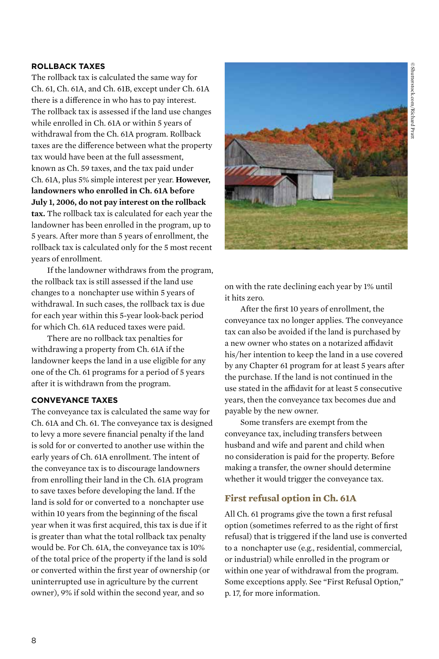#### **ROLLBACK TAXES**

The rollback tax is calculated the same way for Ch. 61, Ch. 61A, and Ch. 61B, except under Ch. 61A there is a difference in who has to pay interest. The rollback tax is assessed if the land use changes while enrolled in Ch. 61A or within 5 years of withdrawal from the Ch. 61A program. Rollback taxes are the difference between what the property tax would have been at the full assessment, known as Ch. 59 taxes, and the tax paid under Ch. 61A, plus 5% simple interest per year. **However, landowners who enrolled in Ch. 61A before July 1, 2006, do not pay interest on the rollback tax.** The rollback tax is calculated for each year the landowner has been enrolled in the program, up to 5 years. After more than 5 years of enrollment, the rollback tax is calculated only for the 5 most recent years of enrollment.

If the landowner withdraws from the program, the rollback tax is still assessed if the land use changes to a nonchapter use within 5 years of withdrawal. In such cases, the rollback tax is due for each year within this 5-year look-back period for which Ch. 61A reduced taxes were paid.

There are no rollback tax penalties for withdrawing a property from Ch. 61A if the landowner keeps the land in a use eligible for any one of the Ch. 61 programs for a period of 5 years after it is withdrawn from the program.

#### **CONVEYANCE TAXES**

The conveyance tax is calculated the same way for Ch. 61A and Ch. 61. The conveyance tax is designed to levy a more severe financial penalty if the land is sold for or converted to another use within the early years of Ch. 61A enrollment. The intent of the conveyance tax is to discourage landowners from enrolling their land in the Ch. 61A program to save taxes before developing the land. If the land is sold for or converted to a nonchapter use within 10 years from the beginning of the fiscal year when it was first acquired, this tax is due if it is greater than what the total rollback tax penalty would be. For Ch. 61A, the conveyance tax is 10% of the total price of the property if the land is sold or converted within the first year of ownership (or uninterrupted use in agriculture by the current owner), 9% if sold within the second year, and so



on with the rate declining each year by 1% until it hits zero.

After the first 10 years of enrollment, the conveyance tax no longer applies. The conveyance tax can also be avoided if the land is purchased by a new owner who states on a notarized affidavit his/her intention to keep the land in a use covered by any Chapter 61 program for at least 5 years after the purchase. If the land is not continued in the use stated in the affidavit for at least 5 consecutive years, then the conveyance tax becomes due and payable by the new owner.

Some transfers are exempt from the conveyance tax, including transfers between husband and wife and parent and child when no consideration is paid for the property. Before making a transfer, the owner should determine whether it would trigger the conveyance tax.

#### **First refusal option in Ch. 61A**

All Ch. 61 programs give the town a first refusal option (sometimes referred to as the right of first refusal) that is triggered if the land use is converted to a nonchapter use (e.g., residential, commercial, or industrial) while enrolled in the program or within one year of withdrawal from the program. Some exceptions apply. See "First Refusal Option," p. 17, for more information.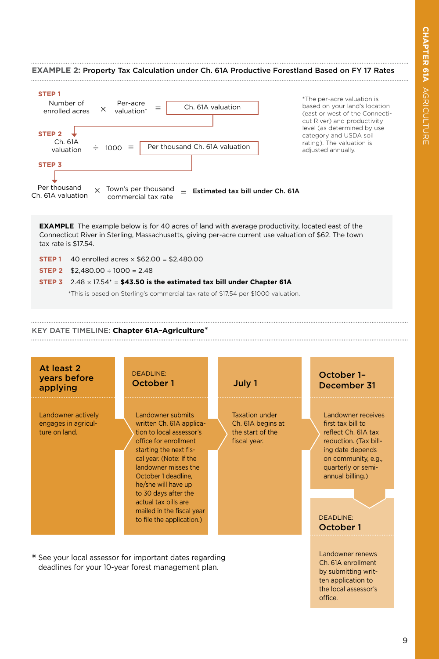

#### DEADLINE: October 1

Landowner renews Ch. 61A enrollment by submitting written application to the local assessor's office.

#### \* See your local assessor for important dates regarding deadlines for your 10-year forest management plan.

actual tax bills are mailed in the fiscal year to file the application.)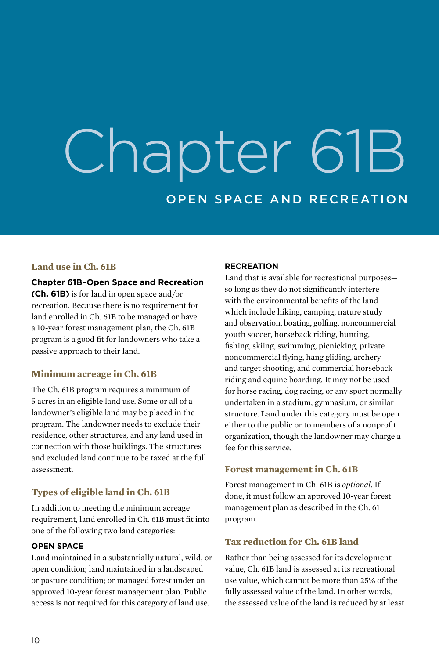# Chapter 61B OPEN SPACE AND RECREATION

#### **Land use in Ch. 61B**

**Chapter 61B–Open Space and Recreation (Ch. 61B)** is for land in open space and/or recreation. Because there is no requirement for land enrolled in Ch. 61B to be managed or have a 10-year forest management plan, the Ch. 61B program is a good fit for landowners who take a passive approach to their land.

#### **Minimum acreage in Ch. 61B**

The Ch. 61B program requires a minimum of 5 acres in an eligible land use. Some or all of a landowner's eligible land may be placed in the program. The landowner needs to exclude their residence, other structures, and any land used in connection with those buildings. The structures and excluded land continue to be taxed at the full assessment.

#### **Types of eligible land in Ch. 61B**

In addition to meeting the minimum acreage requirement, land enrolled in Ch. 61B must fit into one of the following two land categories:

#### **OPEN SPACE**

Land maintained in a substantially natural, wild, or open condition; land maintained in a landscaped or pasture condition; or managed forest under an approved 10-year forest management plan. Public access is not required for this category of land use.

#### **RECREATION**

Land that is available for recreational purposes so long as they do not significantly interfere with the environmental benefits of the land which include hiking, camping, nature study and observation, boating, golfing, noncommercial youth soccer, horseback riding, hunting, fishing, skiing, swimming, picnicking, private noncommercial flying, hang gliding, archery and target shooting, and commercial horseback riding and equine boarding. It may not be used for horse racing, dog racing, or any sport normally undertaken in a stadium, gymnasium, or similar structure. Land under this category must be open either to the public or to members of a nonprofit organization, though the landowner may charge a fee for this service.

#### **Forest management in Ch. 61B**

Forest management in Ch. 61B is *optional.* If done, it must follow an approved 10-year forest management plan as described in the Ch. 61 program.

#### **Tax reduction for Ch. 61B land**

Rather than being assessed for its development value, Ch. 61B land is assessed at its recreational use value, which cannot be more than 25% of the fully assessed value of the land. In other words, the assessed value of the land is reduced by at least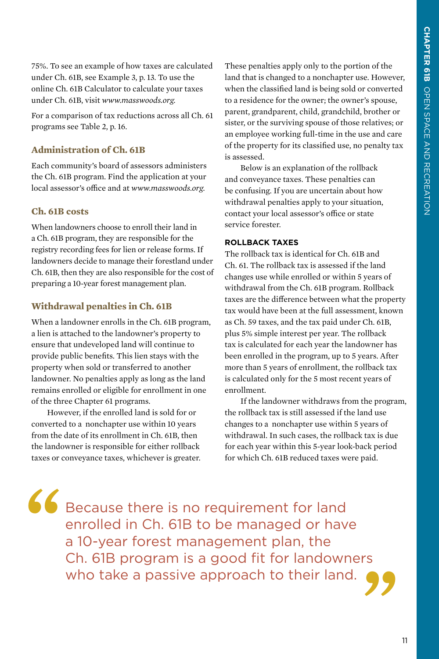75%. To see an example of how taxes are calculated under Ch. 61B, see Example 3, p. 13. To use the online Ch. 61B Calculator to calculate your taxes under Ch. 61B, visit *www.masswoods.org.*

For a comparison of tax reductions across all Ch. 61 programs see Table 2, p. 16.

#### **Administration of Ch. 61B**

Each community's board of assessors administers the Ch. 61B program. Find the application at your local assessor's office and at *www.masswoods.org.*

#### **Ch. 61B costs**

When landowners choose to enroll their land in a Ch. 61B program, they are responsible for the registry recording fees for lien or release forms. If landowners decide to manage their forestland under Ch. 61B, then they are also responsible for the cost of preparing a 10-year forest management plan.

#### **Withdrawal penalties in Ch. 61B**

When a landowner enrolls in the Ch. 61B program, a lien is attached to the landowner's property to ensure that undeveloped land will continue to provide public benefits. This lien stays with the property when sold or transferred to another landowner. No penalties apply as long as the land remains enrolled or eligible for enrollment in one of the three Chapter 61 programs.

However, if the enrolled land is sold for or converted to a nonchapter use within 10 years from the date of its enrollment in Ch. 61B, then the landowner is responsible for either rollback taxes or conveyance taxes, whichever is greater. These penalties apply only to the portion of the land that is changed to a nonchapter use. However, when the classified land is being sold or converted to a residence for the owner; the owner's spouse, parent, grandparent, child, grandchild, brother or sister, or the surviving spouse of those relatives; or an employee working full-time in the use and care of the property for its classified use, no penalty tax is assessed.

Below is an explanation of the rollback and conveyance taxes. These penalties can be confusing. If you are uncertain about how withdrawal penalties apply to your situation, contact your local assessor's office or state service forester.

#### **ROLLBACK TAXES**

The rollback tax is identical for Ch. 61B and Ch. 61. The rollback tax is assessed if the land changes use while enrolled or within 5 years of withdrawal from the Ch. 61B program. Rollback taxes are the difference between what the property tax would have been at the full assessment, known as Ch. 59 taxes, and the tax paid under Ch. 61B, plus 5% simple interest per year. The rollback tax is calculated for each year the landowner has been enrolled in the program, up to 5 years. After more than 5 years of enrollment, the rollback tax is calculated only for the 5 most recent years of enrollment.

If the landowner withdraws from the program, the rollback tax is still assessed if the land use changes to a nonchapter use within 5 years of withdrawal. In such cases, the rollback tax is due for each year within this 5-year look-back period for which Ch. 61B reduced taxes were paid.

**"**

Because there is no requirement for land enrolled in Ch. 61B to be managed or have a 10-year forest management plan, the Ch. 61B program is a good fit for landowners who take a passive approach to their land. **"**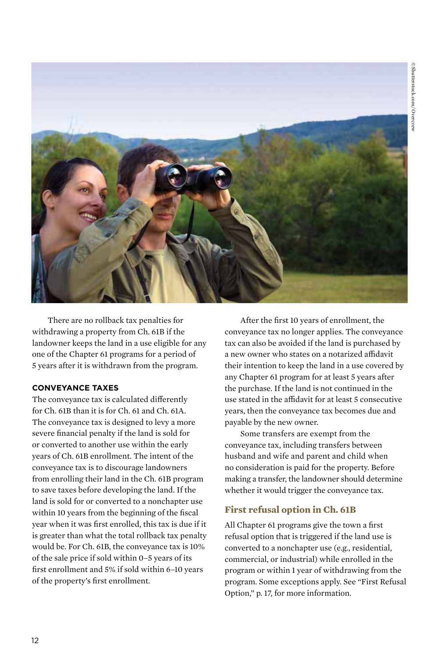

There are no rollback tax penalties for withdrawing a property from Ch. 61B if the landowner keeps the land in a use eligible for any one of the Chapter 61 programs for a period of 5 years after it is withdrawn from the program.

#### **CONVEYANCE TAXES**

The conveyance tax is calculated differently for Ch. 61B than it is for Ch. 61 and Ch. 61A. The conveyance tax is designed to levy a more severe financial penalty if the land is sold for or converted to another use within the early years of Ch. 61B enrollment. The intent of the conveyance tax is to discourage landowners from enrolling their land in the Ch. 61B program to save taxes before developing the land. If the land is sold for or converted to a nonchapter use within 10 years from the beginning of the fiscal year when it was first enrolled, this tax is due if it is greater than what the total rollback tax penalty would be. For Ch. 61B, the conveyance tax is 10% of the sale price if sold within 0–5 years of its first enrollment and 5% if sold within 6–10 years of the property's first enrollment.

After the first 10 years of enrollment, the conveyance tax no longer applies. The conveyance tax can also be avoided if the land is purchased by a new owner who states on a notarized affidavit their intention to keep the land in a use covered by any Chapter 61 program for at least 5 years after the purchase. If the land is not continued in the use stated in the affidavit for at least 5 consecutive years, then the conveyance tax becomes due and payable by the new owner.

Some transfers are exempt from the conveyance tax, including transfers between husband and wife and parent and child when no consideration is paid for the property. Before making a transfer, the landowner should determine whether it would trigger the conveyance tax.

#### **First refusal option in Ch. 61B**

All Chapter 61 programs give the town a first refusal option that is triggered if the land use is converted to a nonchapter use (e.g., residential, commercial, or industrial) while enrolled in the program or within 1 year of withdrawing from the program. Some exceptions apply. See "First Refusal Option," p. 17, for more information.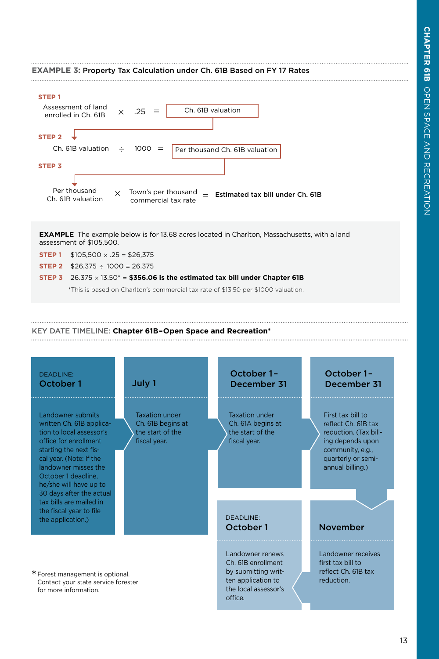#### **EXAMPLE 3:** Property Tax Calculation under Ch. 61B Based on FY 17 Rates **STEP 1** Assessment of land  $.25 =$ Ch. 61B valuation × enrolled in Ch. 61B  $STEP 2 \quad \downarrow$  $1000 =$ Ch. 61B valuation ÷ Per thousand Ch. 61B valuation **STEP 3** Per thousand Town's per thousand × = Estimated tax bill under Ch. 61B Ch. 61B valuation commercial tax rate **EXAMPLE** The example below is for 13.68 acres located in Charlton, Massachusetts, with a land assessment of \$105,500. **STEP 1**  $$105,500 \times .25 = $26,375$ **STEP 2**  $$26.375 \div 1000 = 26.375$ **STEP 3**  $26.375 \times 13.50^* = $356.06$  is the estimated tax bill under Chapter 61B \*This is based on Charlton's commercial tax rate of \$13.50 per \$1000 valuation. KEY DATE TIMELINE: **Chapter 61B–Open Space and Recreation**\* October 1– October 1– DEADLINE: October 1 July 1 December 31 December 31 Landowner submits Taxation under Taxation under First tax bill to written Ch. 61B applica-Ch. 61B begins at Ch. 61A begins at reflect Ch. 61B tax tion to local assessor's the start of the the start of the reduction. (Tax billoffice for enrollment fiscal year. fiscal year. ing depends upon starting the next fiscommunity, e.g., cal year. (Note: If the quarterly or semilandowner misses the annual billing.) October 1 deadline, he/she will have up to 30 days after the actual tax bills are mailed in the fiscal year to file DEADLINE: the application.) October 1 November

Landowner renews Ch. 61B enrollment by submitting written application to the local assessor's

office.

\*Forest management is optional. Contact your state service forester for more information.

Landowner receives first tax bill to reflect Ch. 61B tax reduction.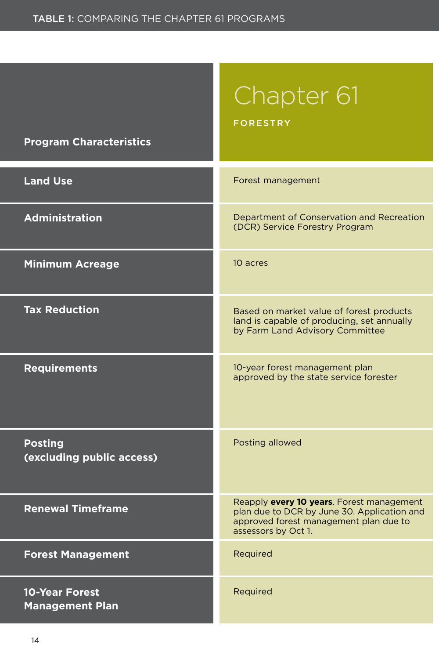## Chapter 61

FORESTRY

#### **Program Characteristics**

| <b>Land Use</b>                                 | Forest management                                                                                                                                         |  |  |  |
|-------------------------------------------------|-----------------------------------------------------------------------------------------------------------------------------------------------------------|--|--|--|
| <b>Administration</b>                           | Department of Conservation and Recreation<br>(DCR) Service Forestry Program                                                                               |  |  |  |
| <b>Minimum Acreage</b>                          | 10 acres                                                                                                                                                  |  |  |  |
| <b>Tax Reduction</b>                            | Based on market value of forest products<br>land is capable of producing, set annually<br>by Farm Land Advisory Committee                                 |  |  |  |
| <b>Requirements</b>                             | 10-year forest management plan<br>approved by the state service forester                                                                                  |  |  |  |
| <b>Posting</b><br>(excluding public access)     | Posting allowed                                                                                                                                           |  |  |  |
| <b>Renewal Timeframe</b>                        | Reapply every 10 years. Forest management<br>plan due to DCR by June 30. Application and<br>approved forest management plan due to<br>assessors by Oct 1. |  |  |  |
| <b>Forest Management</b>                        | Required                                                                                                                                                  |  |  |  |
| <b>10-Year Forest</b><br><b>Management Plan</b> | Required                                                                                                                                                  |  |  |  |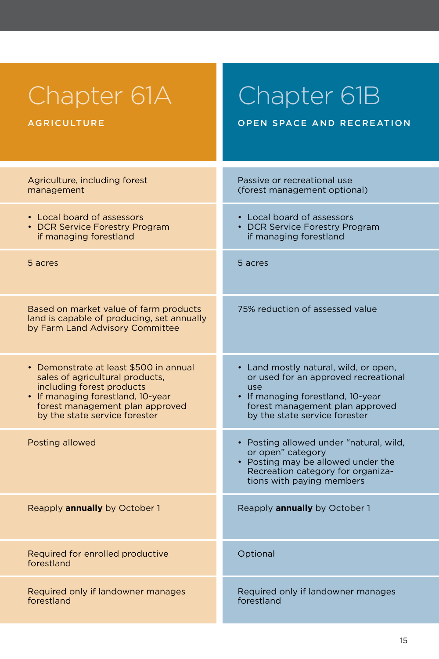| Chapter 61A                                                                                                             | Chapter 61B                                                                                                                                                          |
|-------------------------------------------------------------------------------------------------------------------------|----------------------------------------------------------------------------------------------------------------------------------------------------------------------|
| <b>AGRICULTURE</b>                                                                                                      | OPEN SPACE AND RECREATION                                                                                                                                            |
| Agriculture, including forest                                                                                           | Passive or recreational use                                                                                                                                          |
| management                                                                                                              | (forest management optional)                                                                                                                                         |
| • Local board of assessors                                                                                              | • Local board of assessors                                                                                                                                           |
| • DCR Service Forestry Program                                                                                          | • DCR Service Forestry Program                                                                                                                                       |
| if managing forestland                                                                                                  | if managing forestland                                                                                                                                               |
| 5 acres                                                                                                                 | 5 acres                                                                                                                                                              |
| Based on market value of farm products<br>land is capable of producing, set annually<br>by Farm Land Advisory Committee | 75% reduction of assessed value                                                                                                                                      |
| • Demonstrate at least \$500 in annual                                                                                  | • Land mostly natural, wild, or open,                                                                                                                                |
| sales of agricultural products,                                                                                         | or used for an approved recreational                                                                                                                                 |
| including forest products                                                                                               | use                                                                                                                                                                  |
| • If managing forestland, 10-year                                                                                       | • If managing forestland, 10-year                                                                                                                                    |
| forest management plan approved                                                                                         | forest management plan approved                                                                                                                                      |
| by the state service forester                                                                                           | by the state service forester                                                                                                                                        |
| Posting allowed                                                                                                         | • Posting allowed under "natural, wild,<br>or open" category<br>• Posting may be allowed under the<br>Recreation category for organiza-<br>tions with paying members |
| Reapply annually by October 1                                                                                           | Reapply annually by October 1                                                                                                                                        |
| Required for enrolled productive<br>forestland                                                                          | Optional                                                                                                                                                             |
| Required only if landowner manages                                                                                      | Required only if landowner manages                                                                                                                                   |
| forestland                                                                                                              | forestland                                                                                                                                                           |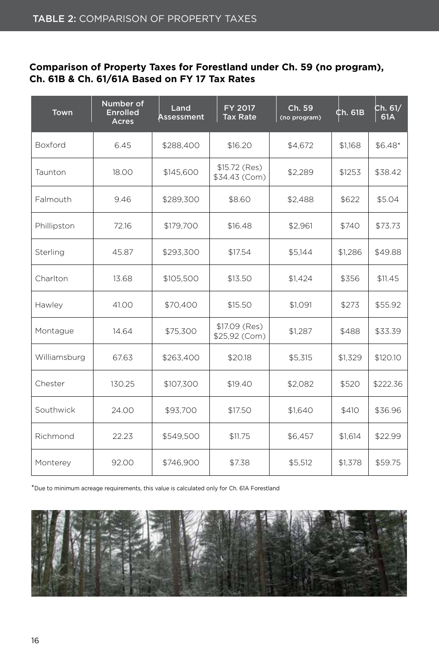#### **Comparison of Property Taxes for Forestland under Ch. 59 (no program), Ch. 61B & Ch. 61/61A Based on FY 17 Tax Rates**

| Town           | Number of<br><b>Enrolled</b><br><b>Acres</b> | Land<br>Assessment | FY 2017<br><b>Tax Rate</b>      | Ch. 59<br>(no program) | ¢h. 61B | Ch. 61 $/$<br>61A |
|----------------|----------------------------------------------|--------------------|---------------------------------|------------------------|---------|-------------------|
| <b>Boxford</b> | 6.45                                         | \$288,400          | \$16.20                         | \$4,672                | \$1,168 | $$6.48*$          |
| Taunton        | 18.00                                        | \$145,600          | $$15.72$ (Res)<br>\$34.43 (Com) | \$2,289                | \$1253  | \$38.42           |
| Falmouth       | 9.46                                         | \$289,300          | \$8.60                          | \$2,488                | \$622   | \$5.04            |
| Phillipston    | 72.16                                        | \$179,700          | \$16.48                         | \$2.961                | \$740   | \$73.73           |
| Sterling       | 45.87                                        | \$293,300          | \$17.54                         | \$5.144                | \$1.286 | \$49.88           |
| Charlton       | 13.68                                        | \$105,500          | \$13.50                         | \$1,424                | \$356   | \$11.45           |
| Hawley         | 41.00                                        | \$70,400           | \$15.50                         | \$1,091                | \$273   | \$55.92           |
| Montague       | 14.64                                        | \$75,300           | \$17.09 (Res)<br>\$25,92 (Com)  | \$1,287                | \$488   | \$33.39           |
| Williamsburg   | 67.63                                        | \$263,400          | \$20.18                         | \$5,315                | \$1,329 | \$120.10          |
| Chester        | 130.25                                       | \$107,300          | \$19.40                         | \$2,082                | \$520   | \$222.36          |
| Southwick      | 24.00                                        | \$93,700           | \$17.50                         | \$1,640                | \$410   | \$36.96           |
| Richmond       | 22.23                                        | \$549,500          | \$11.75                         | \$6,457                | \$1,614 | \$22.99           |
| Monterey       | 92.00                                        | \$746,900          | \$7.38                          | \$5,512                | \$1,378 | \$59.75           |

\*Due to minimum acreage requirements, this value is calculated only for Ch. 61A Forestland

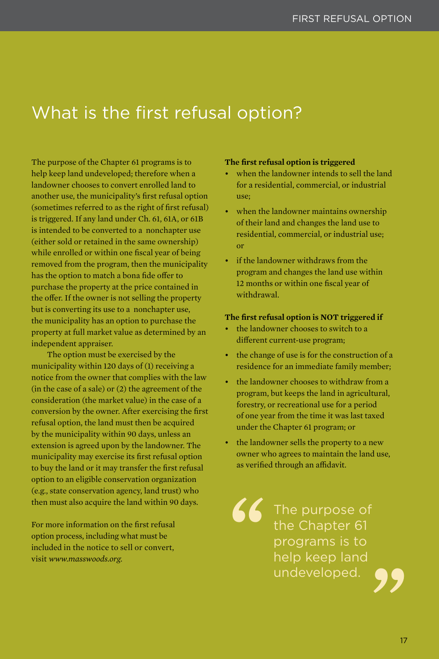### What is the first refusal option?

The purpose of the Chapter 61 programs is to help keep land undeveloped; therefore when a landowner chooses to convert enrolled land to another use, the municipality's first refusal option (sometimes referred to as the right of first refusal) is triggered. If any land under Ch. 61, 61A, or 61B is intended to be converted to a nonchapter use (either sold or retained in the same ownership) while enrolled or within one fiscal year of being removed from the program, then the municipality has the option to match a bona fide offer to purchase the property at the price contained in the offer. If the owner is not selling the property but is converting its use to a nonchapter use, the municipality has an option to purchase the property at full market value as determined by an independent appraiser.

The option must be exercised by the municipality within 120 days of (1) receiving a notice from the owner that complies with the law (in the case of a sale) or (2) the agreement of the consideration (the market value) in the case of a conversion by the owner. After exercising the first refusal option, the land must then be acquired by the municipality within 90 days, unless an extension is agreed upon by the landowner. The municipality may exercise its first refusal option to buy the land or it may transfer the first refusal option to an eligible conservation organization (e.g., state conservation agency, land trust) who then must also acquire the land within 90 days.

For more information on the first refusal option process, including what must be included in the notice to sell or convert, visit *www.masswoods.org.*

#### **The first refusal option is triggered**

- when the landowner intends to sell the land for a residential, commercial, or industrial use;
- when the landowner maintains ownership of their land and changes the land use to residential, commercial, or industrial use; or
- if the landowner withdraws from the program and changes the land use within 12 months or within one fiscal year of withdrawal.

#### **The first refusal option is NOT triggered if**

- the landowner chooses to switch to a different current-use program;
- the change of use is for the construction of a residence for an immediate family member;
- the landowner chooses to withdraw from a program, but keeps the land in agricultural, forestry, or recreational use for a period of one year from the time it was last taxed under the Chapter 61 program; or
- the landowner sells the property to a new owner who agrees to maintain the land use, as verified through an affidavit.

**" "** The purpose of the Chapter 61 programs is to help keep land undeveloped.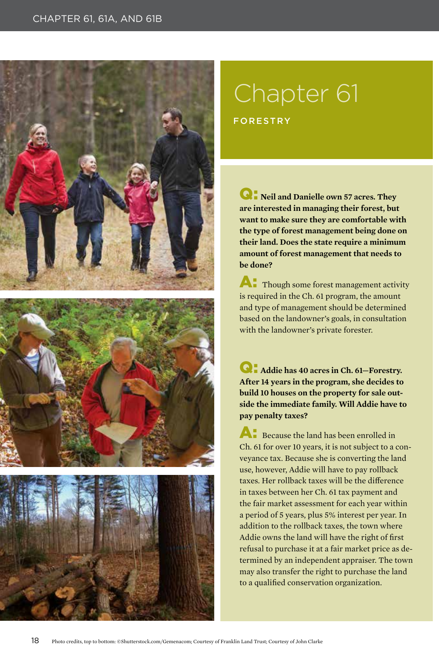#### CHAPTER 61, 61A, AND 61B







## Chapter 61 FORESTRY

Q: **Neil and Danielle own 57 acres. They are interested in managing their forest, but want to make sure they are comfortable with the type of forest management being done on their land. Does the state require a minimum amount of forest management that needs to be done?**

**A:** Though some forest management activity is required in the Ch. 61 program, the amount and type of management should be determined based on the landowner's goals, in consultation with the landowner's private forester.

Q: **Addie has 40 acres in Ch. 61—Forestry. After 14 years in the program, she decides to build 10 houses on the property for sale outside the immediate family. Will Addie have to pay penalty taxes?**

A: Because the land has been enrolled in Ch. 61 for over 10 years, it is not subject to a conveyance tax. Because she is converting the land use, however, Addie will have to pay rollback taxes. Her rollback taxes will be the difference in taxes between her Ch. 61 tax payment and the fair market assessment for each year within a period of 5 years, plus 5% interest per year. In addition to the rollback taxes, the town where Addie owns the land will have the right of first refusal to purchase it at a fair market price as determined by an independent appraiser. The town may also transfer the right to purchase the land to a qualified conservation organization.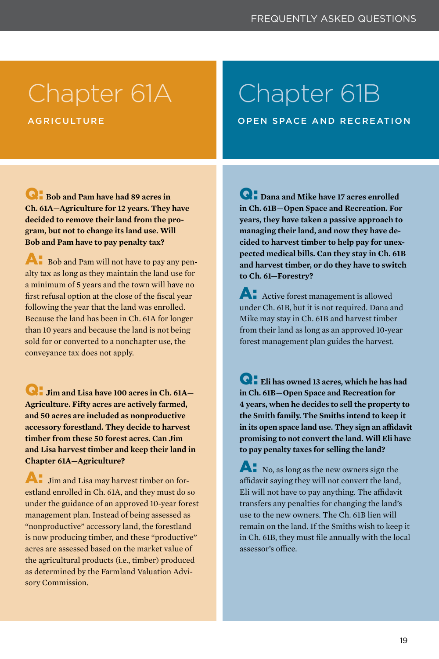## Chapter 61A

**AGRICULTURE** 

## Chapter 61B

OPEN SPACE AND RECREATION

Q: **Bob and Pam have had 89 acres in Ch. 61A—Agriculture for 12 years. They have decided to remove their land from the program, but not to change its land use. Will Bob and Pam have to pay penalty tax?**

A: Bob and Pam will not have to pay any penalty tax as long as they maintain the land use for a minimum of 5 years and the town will have no first refusal option at the close of the fiscal year following the year that the land was enrolled. Because the land has been in Ch. 61A for longer than 10 years and because the land is not being sold for or converted to a nonchapter use, the conveyance tax does not apply.

Q: **Jim and Lisa have 100 acres in Ch. 61A— Agriculture. Fifty acres are actively farmed, and 50 acres are included as nonproductive accessory forestland. They decide to harvest timber from these 50 forest acres. Can Jim and Lisa harvest timber and keep their land in Chapter 61A—Agriculture?**

A: Jim and Lisa may harvest timber on forestland enrolled in Ch. 61A, and they must do so under the guidance of an approved 10-year forest management plan. Instead of being assessed as "nonproductive" accessory land, the forestland is now producing timber, and these "productive" acres are assessed based on the market value of the agricultural products (i.e., timber) produced as determined by the Farmland Valuation Advisory Commission.

Q: **Dana and Mike have 17 acres enrolled in Ch. 61B—Open Space and Recreation. For years, they have taken a passive approach to managing their land, and now they have decided to harvest timber to help pay for unexpected medical bills. Can they stay in Ch. 61B and harvest timber, or do they have to switch to Ch. 61—Forestry?**

**A:** Active forest management is allowed under Ch. 61B, but it is not required. Dana and Mike may stay in Ch. 61B and harvest timber from their land as long as an approved 10-year forest management plan guides the harvest.

Q: **Eli has owned 13 acres, which he has had in Ch. 61B—Open Space and Recreation for 4 years, when he decides to sell the property to the Smith family. The Smiths intend to keep it in its open space land use. They sign an affidavit promising to not convert the land. Will Eli have to pay penalty taxes for selling the land?**

A: No, as long as the new owners sign the affidavit saying they will not convert the land, Eli will not have to pay anything. The affidavit transfers any penalties for changing the land's use to the new owners. The Ch. 61B lien will remain on the land. If the Smiths wish to keep it in Ch. 61B, they must file annually with the local assessor's office.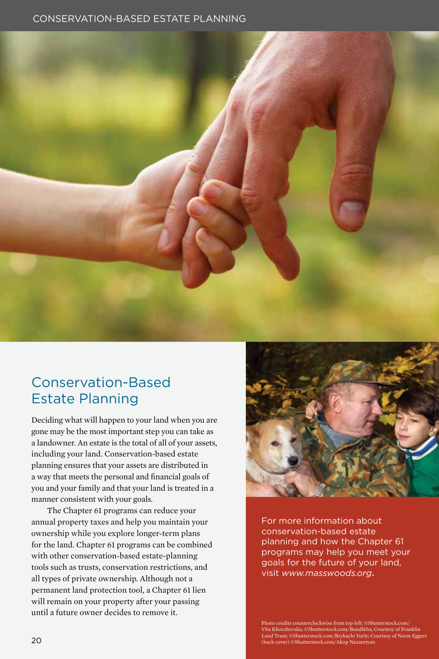#### CONSERVATION-BASED ESTATE PLANNING



### Conservation-Based Estate Planning

Deciding what will happen to your land when you are gone may be the most important step you can take as a landowner. An estate is the total of all of your assets, including your land. Conservation-based estate planning ensures that your assets are distributed in a way that meets the personal and financial goals of you and your family and that your land is treated in a manner consistent with your goals.

The Chapter 61 programs can reduce your annual property taxes and help you maintain your ownership while you explore longer-term plans for the land. Chapter 61 programs can be combined with other conservation-based estate-planning tools such as trusts, conservation restrictions, and all types of private ownership. Although not a permanent land protection tool, a Chapter 61 lien will remain on your property after your passing until a future owner decides to remove it.



For more information about conservation-based estate planning and how the Chapter 61 programs may help you meet your goals for the future of your land, visit *www.masswoods.org*.

Photo credits counterclockwise from top left: ©Shutterstock.com/ Vita Khorzhevska; ©Shutterstock.com/Boudikha; Courtesy of Franklin<br>Land Trust; ©Shutterstock.com/Brykaylo Yurly; Courtesy of Norm Eggert<br>(back cover) ©Shutterstock.com/Akop Nazaretyan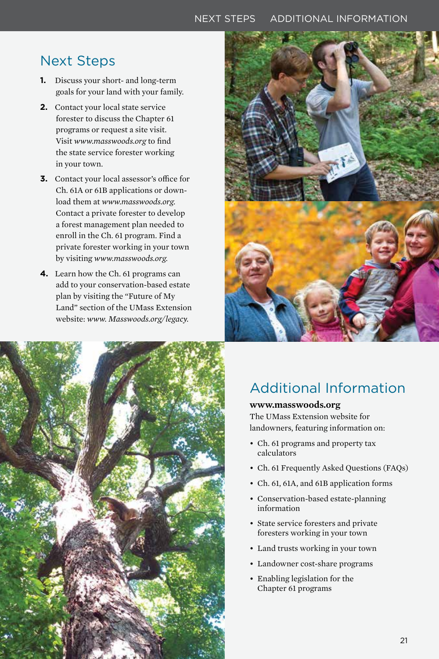#### NEXT STEPS ADDITIONAL INFORMATION

#### Next Steps

- **1.** Discuss your short- and long-term goals for your land with your family.
- **2.** Contact your local state service forester to discuss the Chapter 61 programs or request a site visit. Visit *www.masswoods.org* to find the state service forester working in your town.
- **3.** Contact your local assessor's office for Ch. 61A or 61B applications or download them at *www.masswoods.org.* Contact a private forester to develop a forest management plan needed to enroll in the Ch. 61 program. Find a private forester working in your town by visiting *www.masswoods.org.*
- **4.** Learn how the Ch. 61 programs can add to your conservation-based estate plan by visiting the "Future of My Land" section of the UMass Extension website: *www. Masswoods.org/legacy.*





### Additional Information

#### **www.masswoods.org**

The UMass Extension website for landowners, featuring information on:

- Ch. 61 programs and property tax calculators
- Ch. 61 Frequently Asked Questions (FAQs)
- Ch. 61, 61A, and 61B application forms
- Conservation-based estate-planning information
- State service foresters and private foresters working in your town
- Land trusts working in your town
- Landowner cost-share programs
- Enabling legislation for the Chapter 61 programs